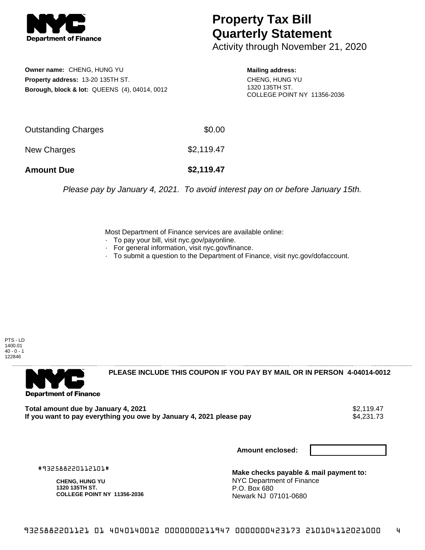

## **Property Tax Bill Quarterly Statement**

Activity through November 21, 2020

**Owner name:** CHENG, HUNG YU **Property address:** 13-20 135TH ST. **Borough, block & lot:** QUEENS (4), 04014, 0012 **Mailing address:**

CHENG, HUNG YU 1320 135TH ST. COLLEGE POINT NY 11356-2036

| <b>Amount Due</b>   | \$2,119.47 |
|---------------------|------------|
| New Charges         | \$2,119.47 |
| Outstanding Charges | \$0.00     |

Please pay by January 4, 2021. To avoid interest pay on or before January 15th.

Most Department of Finance services are available online:

- · To pay your bill, visit nyc.gov/payonline.
- For general information, visit nyc.gov/finance.
- · To submit a question to the Department of Finance, visit nyc.gov/dofaccount.

PTS - LD 1400.01  $40 - 0 - 1$ 122846



**PLEASE INCLUDE THIS COUPON IF YOU PAY BY MAIL OR IN PERSON 4-04014-0012** 

**Total amount due by January 4, 2021**<br>If you want to pay everything you owe by January 4, 2021 please pay **strategy of the Superior August** \$4,231.73 If you want to pay everything you owe by January 4, 2021 please pay

**Amount enclosed:**

#932588220112101#

**CHENG, HUNG YU 1320 135TH ST. COLLEGE POINT NY 11356-2036**

**Make checks payable & mail payment to:** NYC Department of Finance P.O. Box 680 Newark NJ 07101-0680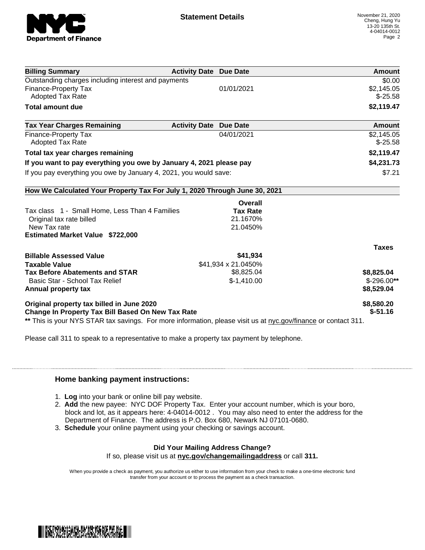

| <b>Billing Summary</b>                                                                                         | <b>Activity Date Due Date</b> | Amount       |
|----------------------------------------------------------------------------------------------------------------|-------------------------------|--------------|
| Outstanding charges including interest and payments                                                            |                               | \$0.00       |
| Finance-Property Tax                                                                                           | 01/01/2021                    | \$2,145.05   |
| <b>Adopted Tax Rate</b>                                                                                        |                               | $$-25.58$    |
| <b>Total amount due</b>                                                                                        |                               | \$2,119.47   |
| <b>Tax Year Charges Remaining</b>                                                                              | <b>Activity Date Due Date</b> | Amount       |
| Finance-Property Tax                                                                                           | 04/01/2021                    | \$2,145.05   |
| <b>Adopted Tax Rate</b>                                                                                        |                               | $$-25.58$    |
| Total tax year charges remaining                                                                               |                               | \$2,119.47   |
| If you want to pay everything you owe by January 4, 2021 please pay                                            |                               | \$4,231.73   |
| If you pay everything you owe by January 4, 2021, you would save:                                              |                               | \$7.21       |
| How We Calculated Your Property Tax For July 1, 2020 Through June 30, 2021                                     |                               |              |
|                                                                                                                | <b>Overall</b>                |              |
| Tax class 1 - Small Home, Less Than 4 Families                                                                 | <b>Tax Rate</b>               |              |
| Original tax rate billed                                                                                       | 21.1670%                      |              |
| New Tax rate                                                                                                   | 21.0450%                      |              |
| <b>Estimated Market Value \$722,000</b>                                                                        |                               |              |
|                                                                                                                |                               | <b>Taxes</b> |
| <b>Billable Assessed Value</b>                                                                                 | \$41,934                      |              |
| <b>Taxable Value</b>                                                                                           | \$41,934 x 21.0450%           |              |
| <b>Tax Before Abatements and STAR</b>                                                                          | \$8,825.04                    | \$8,825.04   |
| Basic Star - School Tax Relief                                                                                 | $$-1,410.00$                  | $$-296.00**$ |
| Annual property tax                                                                                            |                               | \$8,529.04   |
| Original property tax billed in June 2020                                                                      |                               | \$8,580.20   |
| <b>Change In Property Tax Bill Based On New Tax Rate</b>                                                       |                               | $$-51.16$    |
| ** This is your NYS STAR tax savings. For more information, please visit us at nyc.gov/finance or contact 311. |                               |              |

Please call 311 to speak to a representative to make a property tax payment by telephone.

## **Home banking payment instructions:**

- 1. **Log** into your bank or online bill pay website.
- 2. **Add** the new payee: NYC DOF Property Tax. Enter your account number, which is your boro, block and lot, as it appears here: 4-04014-0012 . You may also need to enter the address for the Department of Finance. The address is P.O. Box 680, Newark NJ 07101-0680.
- 3. **Schedule** your online payment using your checking or savings account.

## **Did Your Mailing Address Change?**

If so, please visit us at **nyc.gov/changemailingaddress** or call **311.**

When you provide a check as payment, you authorize us either to use information from your check to make a one-time electronic fund transfer from your account or to process the payment as a check transaction.